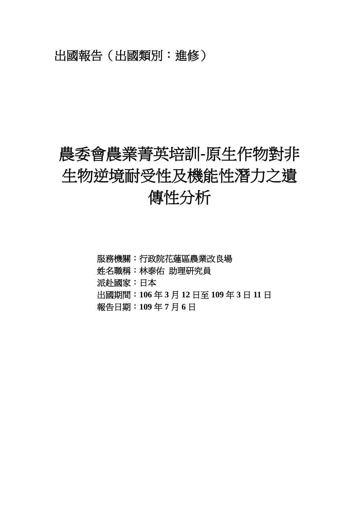# 出國報告(出國類別:進修)

# 農委會農業菁英培訓**-**原生作物對非 生物逆境耐受性及機能性潛力之遺 傳性分析

- 服務機關:行政院花蓮區農業改良場
- 姓名職稱:林泰佑 助理研究員
- 派赴國家:日本
- 出國期間:**106** 年 **3** 月 **12** 日至 **109** 年 **3** 日 **11** 日
- 報告日期:**109** 年 **7** 月 **6** 日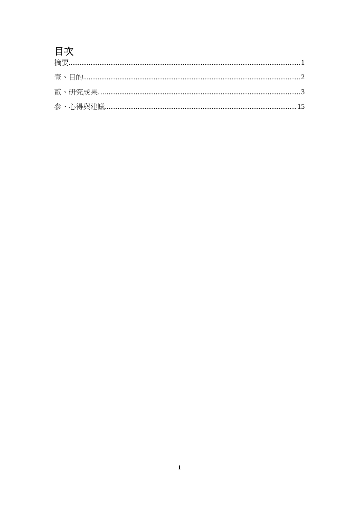# 目次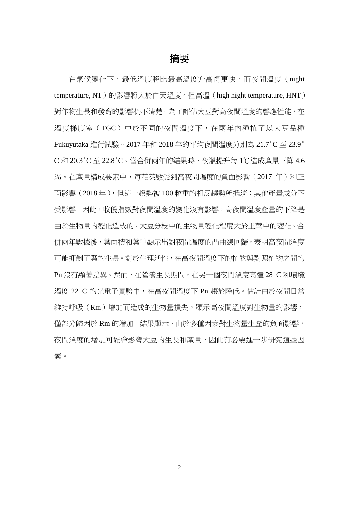#### 摘要

在氣候變化下,最低溫度將比最高溫度升高得更快,而夜間溫度(night temperature, NT)的影響將大於白天溫度。但高溫(high night temperature, HNT) 對作物生長和發育的影響仍不清楚。為了評估大豆對高夜間溫度的響應性能,在 溫度梯度室(TGC)中於不同的夜間溫度下,在兩年內種植了以大豆品種 Fukuyutaka 進行試驗。2017 年和 2018 年的平均夜間溫度分別為 21.7°C 至 23.9° C 和 20.3°C 至 22.8°C。當合併兩年的結果時,夜溫提升每 1℃造成產量下降 4.6 %。在產量構成要素中,每花莢數受到高夜間溫度的負面影響(2017年)和正 面影響(2018年),但這一趨勢被100 粒重的相反趨勢所抵消;其他產量成分不 受影響。因此,收穫指數對夜間溫度的變化沒有影響,高夜間溫度產量的下降是 由於生物量的變化造成的。大豆分枝中的生物量變化程度大於主莖中的變化。合 併兩年數據後,葉面積和葉重顯示出對夜間溫度的凸曲線回歸,表明高夜間溫度 可能抑制了葉的生長。對於生理活性,在高夜間溫度下的植物與對照植物之間的 Pn 沒有顯著差異。然而,在營養生長期間,在另一個夜間溫度高達 28°C 和環境 溫度 22°C 的光電子實驗中,在高夜間溫度下 Pn 趨於降低。估計由於夜間日常 維持呼吸(Rm)增加而造成的生物量損失,顯示高夜間溫度對生物量的影響, 僅部分歸因於 Rm 的增加。結果顯示,由於多種因素對生物量生產的負面影響, 夜間溫度的增加可能會影響大豆的生長和產量,因此有必要進一步研究這些因 素。

 $\overline{2}$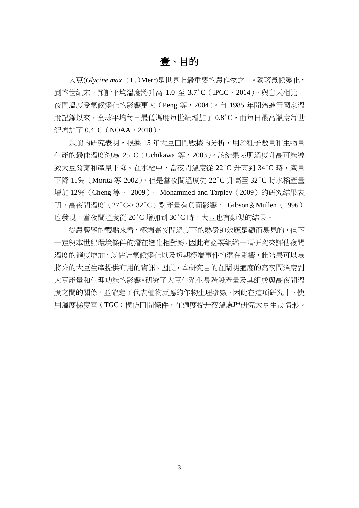### 壹、目的

大豆(*Glycine max*(L.)Merr)是世界上最重要的農作物之一。隨著氣候變化, 到本世紀末, 預計平均溫度將升高  $1.0 \, \, \widehat{=} \, 3.7^{\circ}$ C (IPCC,  $2014$ )。 與白天相比, 夜間溫度受氣候變化的影響更大(Peng 等,2004)。自 1985 年開始進行國家溫 度記錄以來,全球平均每日最低溫度每世紀增加了 0.8°C,而每日最高溫度每世 紀增加了 0.4 °C (NOAA, 2018)。

以前的研究表明,根據 15 年大豆田間數據的分析,用於種子數量和生物量 生產的最佳溫度約為 25°C(Uchikawa 等,2003)。該結果表明溫度升高可能導 致大豆發育和產量下降。在水稻中,當夜間溫度從 22°C 升高到 34°C 時,產量 下降 11% (Morita 等 2002),但是當夜間溫度從 22°C 升高至 32°C 時水稻產量 增加 12%(Cheng 等。 2009)。 Mohammed and Tarpley(2009)的研究結果表 明,高夜間溫度(27°C-> 32°C)對產量有負面影響。 Gibson&Mullen(1996) 也發現,當夜間溫度從 20°C 增加到 30°C 時,大豆也有類似的結果。

從農藝學的觀點來看,極端高夜間溫度下的熱脅迫效應是顯而易見的,但不 一定與本世紀環境條件的潛在變化相對應。因此有必要組織一項研究來評估夜間 溫度的適度增加,以估計氣候變化以及短期極端事件的潛在影響,此結果可以為 將來的大豆生產提供有用的資訊。因此,本研究目的在闡明適度的高夜間溫度對 大豆產量和生理功能的影響。研究了大豆生殖生長階段產量及其組成與高夜間溫 度之間的關係,並確定了代表植物反應的作物生理參數。因此在這項研究中,使 用溫度梯度室(TGC)模仿田間條件,在適度提升夜溫處理研究大豆生長情形。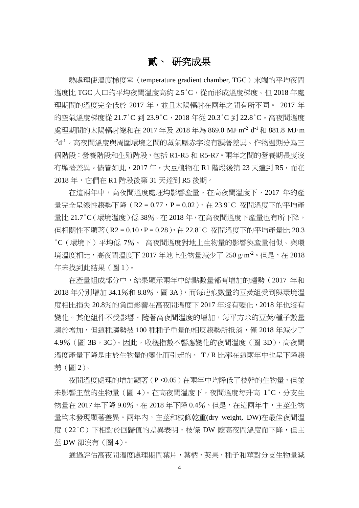## 貳、 研究成果

熱處理使溫度梯度室(temperature gradient chamber, TGC)末端的平均夜間 溫度比 TGC 入口的平均夜間溫度高約 2.5 °C,從而形成溫度梯度。但 2018 年處 理期間的溫度完全低於 2017 年,並且太陽輻射在兩年之間有所不同。 2017 年 的空氣溫度梯度從 21.7°C 到 23.9°C,2018 年從 20.3°C 到 22.8°C。高夜間溫度 處理期間的太陽輻射總和在 2017 年及 2018 年為 869.0 MJ·m<sup>-2</sup> d<sup>-1</sup> 和 881.8 MJ·m  $^{-2}$ d<sup>-1</sup>。高夜間溫度與周圍環境之間的蒸氣壓赤字沒有顯著差異。作物週期分為三 個階段:營養階段和生殖階段,包括 R1-R5 和 R5-R7。兩年之間的營養期長度沒 有顯著差異。儘管如此,2017年,大豆植物在 R1 階段後第 23 天達到 R5,而在 2018 年,它們在 R1 階段後第 31 天達到 R5 後期。

在這兩年中,高夜間溫度處理均影響產量。在高夜間溫度下,2017 年的產 量完全呈線性趨勢下降  $(R2 = 0.77 \cdot P = 0.02)$ , 在 23.9°C 夜間溫度下的平均產 量比 21.7°C(環境溫度)低 38%。在 2018 年,在高夜間溫度下產量也有所下降, 但相關性不顯著(R2 = 0.10, P = 0.28), 在 22.8°C 夜間溫度下的平均產量比 20.3 °C(環境下)平均低 7%。 高夜間溫度對地上生物量的影響與產量相似。與環 境溫度相比,高夜間溫度下 2017 年地上生物量減少了 250 g·m<sup>-2</sup>。但是,在 2018 年未找到此結果(圖 1)。

在產量組成部分中,結果顯示兩年中結點數量都有增加的趨勢(2017 年和 2018年分別增加 34.1%和 8.8%,圖 3A),而每疤痕數量的豆莢組受到與環境溫 度相比損失 20.8%的負面影響在高夜間溫度下 2017 年沒有變化,2018 年也沒有 變化。其他組件不受影響。隨著高夜間溫度的增加,每平方米的豆莢/種子數量 趨於增加,但這種趨勢被 100 種種子重量的相反趨勢所抵消,僅 2018 年減少了 4.9% (圖 3B, 3C)。因此,收穫指數不響應變化的夜間溫度 (圖 3D), 高夜間 溫度產量下降是由於生物量的變化而引起的。 T / R 比率在這兩年中也呈下降趨 勢(圖 2)。

夜間溫度處理的增加顯著(P <0.05)在兩年中均降低了枝幹的生物量,但並 未影響主莖的生物量(圖 4)。在高夜間溫度下,夜間溫度每升高 1°C,分支生 物量在 2017 年下降 9.0%,在 2018 年下降 0.4%。但是,在這兩年中,主莖生物 量均未發現顯著差異。兩年內,主莖和枝條乾重(dry weight, DW)在最佳夜間溫 度 (22°C) 下相對於回歸值的差異表明,枝條 DW 隨高夜間溫度而下降, 但主 莖 DW 卻沒有(圖 4)。

通過評估高夜間溫度處理期間葉片,葉柄,莢果,種子和莖對分支生物量減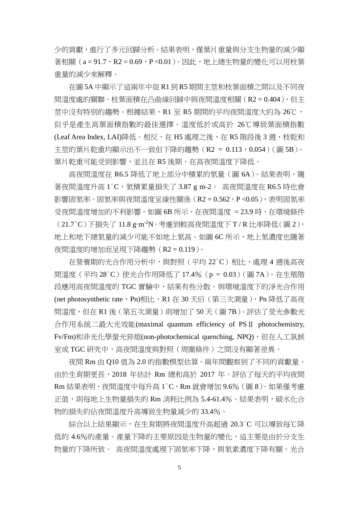少的貢獻,進行了多元回歸分析。結果表明,僅葉片重量與分支生物量的減少顯 著相關 (a = 91.7, R2 = 0.69, P < 0.01)。因此, 地上總生物量的變化可以用枝葉 重量的減少來解釋。

在圖 5A 中顯示了這兩年中從 R1 到 R5 期間主莖和枝葉面積之間以及不同夜 間溫度處的關聯。枝葉面積在凸曲線回歸中與夜間溫度相關(R2 = 0.404),但主 莖中沒有特別的趨勢。根據結果,R1 至 R5 期間的平均夜間溫度大約為 26℃, 似乎是產生高葉面積指數的最佳選擇。溫度低於或高於 26℃導致葉面積指數 (Leaf Area Index, LAI)降低。相反,在 H5 處理之後,在 R5 階段後 3 週,枝乾和 主莖的葉片乾重均顯示出不一致但下降的趨勢 (R2 = 0.113,0.054) (圖 5B)。 葉片乾重可能受到影響,並且在 R5 後期,在高夜間溫度下降低。

高夜間溫度在 R6.5 降低了地上部分中積累的氮量 (圖 6A)。結果表明,隨 著夜間溫度升高 1°C, 氮積累量損失了 3.87 g m-2。 高夜間溫度在 R6.5 時也會 影響固氦率。固氦率與夜間溫度呈線性關係 (R2 = 0.562, P<0.05), 表明固氦率 受夜間溫度增加的不利影響。如圖 6B 所示,在夜間溫度 = 23.9 時,在環境條件 (21.7°C)下損失了 11.8 g·m-2N。考慮到較高夜間溫度下 T / R 比率降低(圖 2), 地上和地下總氮量的減少可能不如地上氮高。如圖 6C 所示,地上氮濃度也隨著 夜間溫度的增加而呈現下降趨勢(R2 = 0.119)。

在營養期的光合作用分析中,與對照(平均 22°C)相比,處理 4 週後高夜 間溫度(平均 28°C)使光合作用降低了 17.4%(p = 0.03)(圖 7A)。在生殖階 段應用高夜間溫度的 TGC 實驗中,結果有些分散。與環境溫度下的淨光合作用 (net photosynthetic rate, Pn)相比,R1 在 30 天后(第三次測量),Pn 降低了高夜 間溫度,但在 R1 後(第五次測量)則增加了 50 天(圖 7B)。評估了熒光參數光 合作用系統二最大光效能(maximal quantum efficiency of PSⅡ photochemistry, Fv/Fm)和非光化學螢光猝熄(non-photochemical quenching, NPQ), 但在人工氣候 室或 TGC 研究中,高夜間溫度與對照(周圍條件)之間沒有顯著差異。

夜間 Rm 由 Q10 值為 2.0 的指數模型估算。兩年間觀察到了不同的貢獻量。 由於生育期更長,2018 年估計 Rm 總和高於 2017 年。評估了每天的平均夜間 Rm 結果表明,夜間溫度中每升高 1°C,Rm 就會增加 9.6%(圖 8)。如果僅考慮 正值,則每地上生物量損失的 Rm 消耗比例為 5.4-61.4%。結果表明,碳水化合 物的損失約佔夜間溫度升高導致生物量減少的 33.4%。

綜合以上結果顯示,在生育期將夜間溫度升高超過 20.3°C 可以導致每℃降 低約 4.6%的產量。產量下降的主要原因是生物量的變化,這主要是由於分支生 物量的下降所致。 高夜間溫度處理下固氮率下降,與氮素濃度下降有關。光合

5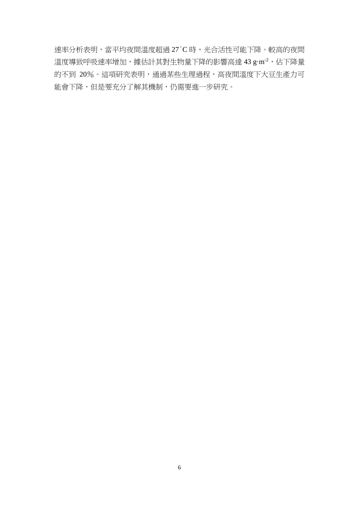速率分析表明,當平均夜間溫度超過 27°C 時,光合活性可能下降。較高的夜間 溫度導致呼吸速率增加,據估計其對生物量下降的影響高達 43 g·m<sup>-2</sup>,佔下降量 的不到 20%。這項研究表明,通過某些生理過程,高夜間溫度下大豆生產力可 能會下降,但是要充分了解其機制,仍需要進一步研究。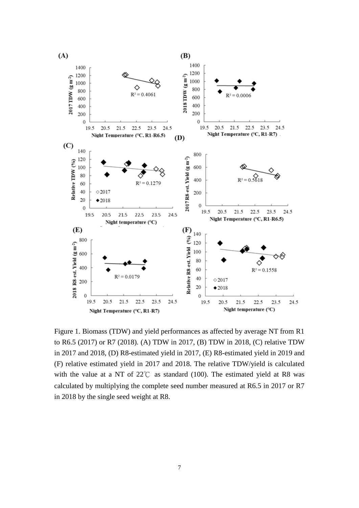

Figure 1. Biomass (TDW) and yield performances as affected by average NT from R1 to R6.5 (2017) or R7 (2018). (A) TDW in 2017, (B) TDW in 2018, (C) relative TDW in 2017 and 2018, (D) R8-estimated yield in 2017, (E) R8-estimated yield in 2019 and (F) relative estimated yield in 2017 and 2018. The relative TDW/yield is calculated with the value at a NT of  $22^{\circ}$  as standard (100). The estimated yield at R8 was calculated by multiplying the complete seed number measured at R6.5 in 2017 or R7 in 2018 by the single seed weight at R8.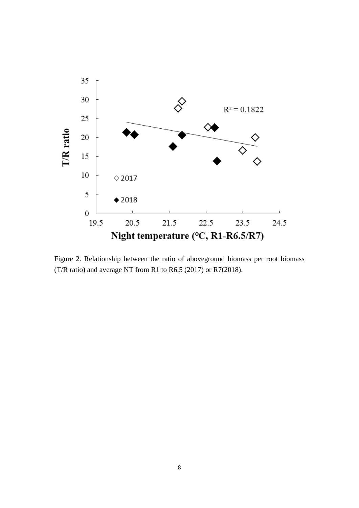

Figure 2. Relationship between the ratio of aboveground biomass per root biomass (T/R ratio) and average NT from R1 to R6.5 (2017) or R7(2018).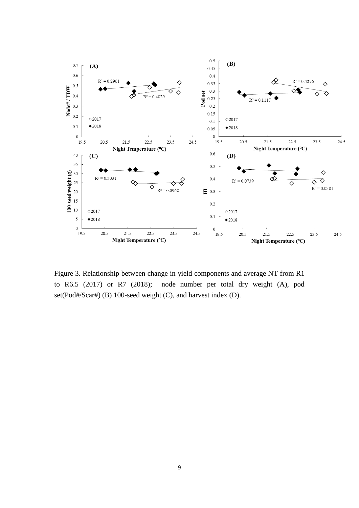

Figure 3. Relationship between change in yield components and average NT from R1 to R6.5 (2017) or R7 (2018); node number per total dry weight (A), pod set(Pod#/Scar#) (B) 100-seed weight (C), and harvest index (D).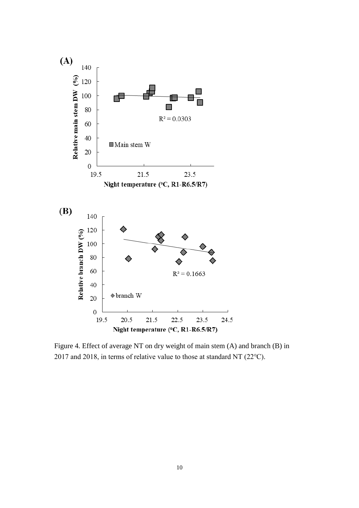

Figure 4. Effect of average NT on dry weight of main stem (A) and branch (B) in 2017 and 2018, in terms of relative value to those at standard NT (22℃).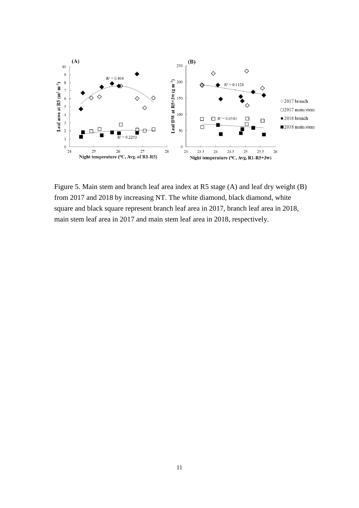

Figure 5. Main stem and branch leaf area index at R5 stage (A) and leaf dry weight (B) from 2017 and 2018 by increasing NT. The white diamond, black diamond, white square and black square represent branch leaf area in 2017, branch leaf area in 2018, main stem leaf area in 2017 and main stem leaf area in 2018, respectively.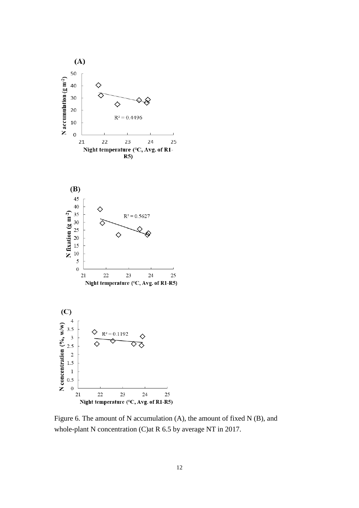

Figure 6. The amount of N accumulation (A), the amount of fixed N (B), and whole-plant N concentration (C) at R 6.5 by average NT in 2017.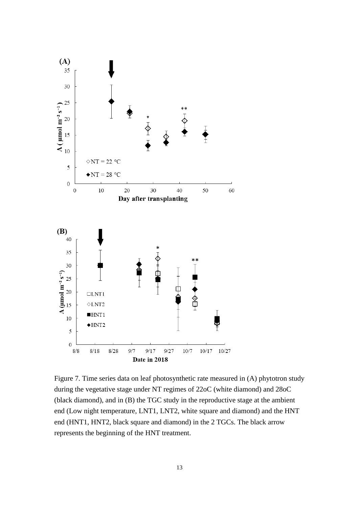

Figure 7. Time series data on leaf photosynthetic rate measured in (A) phytotron study during the vegetative stage under NT regimes of 22oC (white diamond) and 28oC (black diamond), and in (B) the TGC study in the reproductive stage at the ambient end (Low night temperature, LNT1, LNT2, white square and diamond) and the HNT end (HNT1, HNT2, black square and diamond) in the 2 TGCs. The black arrow represents the beginning of the HNT treatment.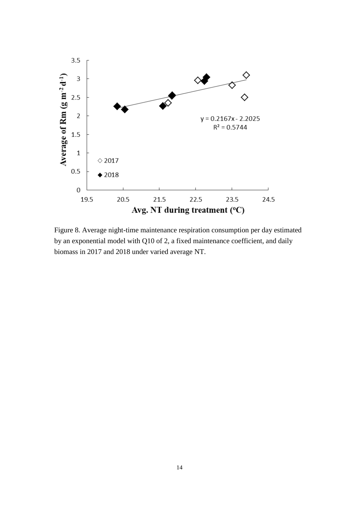

Figure 8. Average night-time maintenance respiration consumption per day estimated by an exponential model with Q10 of 2, a fixed maintenance coefficient, and daily biomass in 2017 and 2018 under varied average NT.